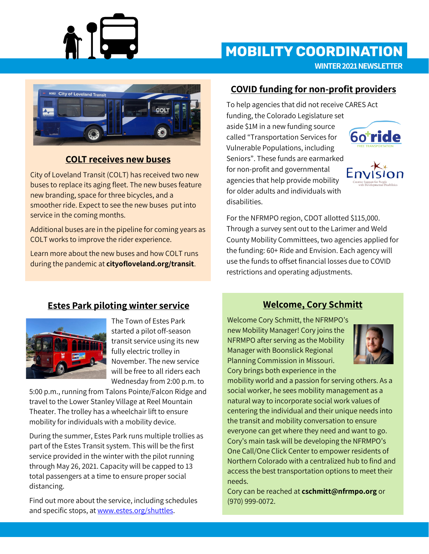

# **MOBILITY COORDINATION**

**WINTER 2021 NEWSLETTER**



## **COLT receives new buses**

City of Loveland Transit (COLT) has received two new buses to replace its aging fleet. The new buses feature new branding, space for three bicycles, and a smoother ride. Expect to see the new buses put into service in the coming months.

Additional buses are in the pipeline for coming years as COLT works to improve the rider experience.

Learn more about the new buses and how COLT runs during the pandemic at **cityofloveland.org/transit**.

### **COVID funding for non-profit providers**

To help agencies that did not receive CARES Act funding, the Colorado Legislature set aside \$1M in a new funding source called "Transportation Services for Vulnerable Populations, including Seniors". These funds are earmarked for non-profit and governmental agencies that help provide mobility for older adults and individuals with disabilities.





For the NFRMPO region, CDOT allotted \$115,000. Through a survey sent out to the Larimer and Weld County Mobility Committees, two agencies applied for the funding: 60+ Ride and Envision. Each agency will use the funds to offset financial losses due to COVID restrictions and operating adjustments.

#### **Estes Park piloting winter service**



The Town of Estes Park started a pilot off-season transit service using its new fully electric trolley in November. The new service will be free to all riders each Wednesday from 2:00 p.m. to

5:00 p.m., running from Talons Pointe/Falcon Ridge and travel to the Lower Stanley Village at Reel Mountain Theater. The trolley has a wheelchair lift to ensure mobility for individuals with a mobility device.

During the summer, Estes Park runs multiple trollies as part of the Estes Transit system. This will be the first service provided in the winter with the pilot running through May 26, 2021. Capacity will be capped to 13 total passengers at a time to ensure proper social distancing.

Find out more about the service, including schedules and specific stops, at [www.estes.org/shuttles.](http://www.estes.org/shuttles)

## **Welcome, Cory Schmitt**

Welcome Cory Schmitt, the NFRMPO's new Mobility Manager! Cory joins the NFRMPO after serving as the Mobility Manager with Boonslick Regional Planning Commission in Missouri. Cory brings both experience in the



mobility world and a passion for serving others. As a social worker, he sees mobility management as a natural way to incorporate social work values of centering the individual and their unique needs into the transit and mobility conversation to ensure everyone can get where they need and want to go. Cory's main task will be developing the NFRMPO's One Call/One Click Center to empower residents of Northern Colorado with a centralized hub to find and access the best transportation options to meet their needs.

Cory can be reached at **cschmitt@nfrmpo.org** or (970) 999-0072.